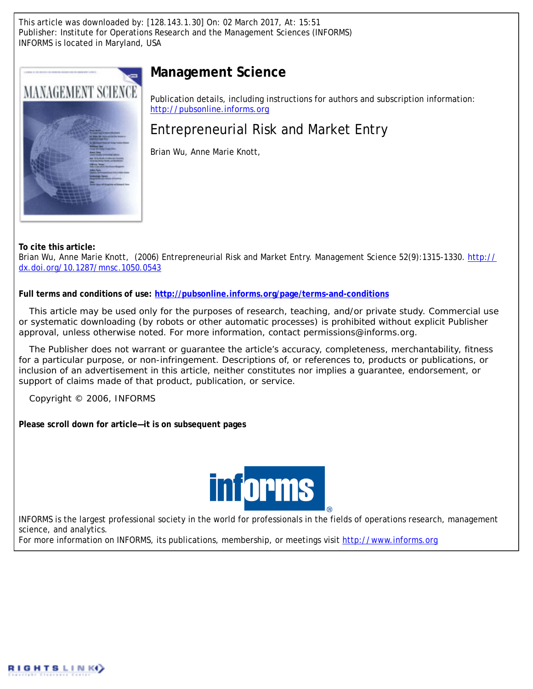This article was downloaded by: [128.143.1.30] On: 02 March 2017, At: 15:51 Publisher: Institute for Operations Research and the Management Sciences (INFORMS) INFORMS is located in Maryland, USA



## **Management Science**

Publication details, including instructions for authors and subscription information: <http://pubsonline.informs.org>

# Entrepreneurial Risk and Market Entry

Brian Wu, Anne Marie Knott,

**To cite this article:**

Brian Wu, Anne Marie Knott, (2006) Entrepreneurial Risk and Market Entry. Management Science 52(9):1315-1330. [http://](http://dx.doi.org/10.1287/mnsc.1050.0543) [dx.doi.org/10.1287/mnsc.1050.0543](http://dx.doi.org/10.1287/mnsc.1050.0543)

**Full terms and conditions of use: <http://pubsonline.informs.org/page/terms-and-conditions>**

This article may be used only for the purposes of research, teaching, and/or private study. Commercial use or systematic downloading (by robots or other automatic processes) is prohibited without explicit Publisher approval, unless otherwise noted. For more information, contact permissions@informs.org.

The Publisher does not warrant or guarantee the article's accuracy, completeness, merchantability, fitness for a particular purpose, or non-infringement. Descriptions of, or references to, products or publications, or inclusion of an advertisement in this article, neither constitutes nor implies a guarantee, endorsement, or support of claims made of that product, publication, or service.

Copyright © 2006, INFORMS

**Please scroll down for article—it is on subsequent pages**



INFORMS is the largest professional society in the world for professionals in the fields of operations research, management science, and analytics.

For more information on INFORMS, its publications, membership, or meetings visit <http://www.informs.org>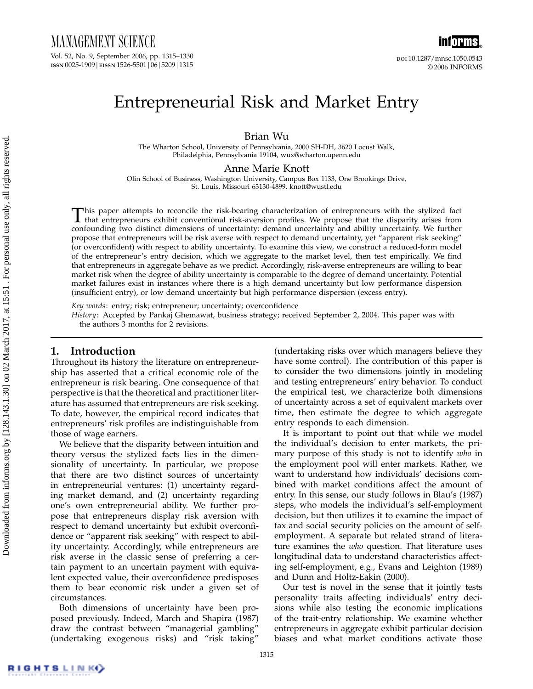

# Entrepreneurial Risk and Market Entry

Brian Wu

The Wharton School, University of Pennsylvania, 2000 SH-DH, 3620 Locust Walk, Philadelphia, Pennsylvania 19104, wux@wharton.upenn.edu

Anne Marie Knott

Olin School of Business, Washington University, Campus Box 1133, One Brookings Drive, St. Louis, Missouri 63130-4899, knott@wustl.edu

This paper attempts to reconcile the risk-bearing characterization of entrepreneurs with the stylized fact<br>that entrepreneurs exhibit conventional risk-aversion profiles. We propose that the disparity arises from confounding two distinct dimensions of uncertainty: demand uncertainty and ability uncertainty. We further propose that entrepreneurs will be risk averse with respect to demand uncertainty, yet "apparent risk seeking" (or overconfident) with respect to ability uncertainty. To examine this view, we construct a reduced-form model of the entrepreneur's entry decision, which we aggregate to the market level, then test empirically. We find that entrepreneurs in aggregate behave as we predict. Accordingly, risk-averse entrepreneurs are willing to bear market risk when the degree of ability uncertainty is comparable to the degree of demand uncertainty. Potential market failures exist in instances where there is a high demand uncertainty but low performance dispersion (insufficient entry), or low demand uncertainty but high performance dispersion (excess entry).

Key words: entry; risk; entrepreneur; uncertainty; overconfidence

History: Accepted by Pankaj Ghemawat, business strategy; received September 2, 2004. This paper was with the authors 3 months for 2 revisions.

## 1. Introduction

Throughout its history the literature on entrepreneurship has asserted that a critical economic role of the entrepreneur is risk bearing. One consequence of that perspective is that the theoretical and practitioner literature has assumed that entrepreneurs are risk seeking. To date, however, the empirical record indicates that entrepreneurs' risk profiles are indistinguishable from those of wage earners.

We believe that the disparity between intuition and theory versus the stylized facts lies in the dimensionality of uncertainty. In particular, we propose that there are two distinct sources of uncertainty in entrepreneurial ventures: (1) uncertainty regarding market demand, and (2) uncertainty regarding one's own entrepreneurial ability. We further propose that entrepreneurs display risk aversion with respect to demand uncertainty but exhibit overconfidence or "apparent risk seeking" with respect to ability uncertainty. Accordingly, while entrepreneurs are risk averse in the classic sense of preferring a certain payment to an uncertain payment with equivalent expected value, their overconfidence predisposes them to bear economic risk under a given set of circumstances.

Both dimensions of uncertainty have been proposed previously. Indeed, March and Shapira (1987) draw the contrast between "managerial gambling" (undertaking exogenous risks) and "risk taking"

(undertaking risks over which managers believe they have some control). The contribution of this paper is to consider the two dimensions jointly in modeling and testing entrepreneurs' entry behavior. To conduct the empirical test, we characterize both dimensions of uncertainty across a set of equivalent markets over time, then estimate the degree to which aggregate entry responds to each dimension.

It is important to point out that while we model the individual's decision to enter markets, the primary purpose of this study is not to identify who in the employment pool will enter markets. Rather, we want to understand how individuals' decisions combined with market conditions affect the amount of entry. In this sense, our study follows in Blau's (1987) steps, who models the individual's self-employment decision, but then utilizes it to examine the impact of tax and social security policies on the amount of selfemployment. A separate but related strand of literature examines the *who* question. That literature uses longitudinal data to understand characteristics affecting self-employment, e.g., Evans and Leighton (1989) and Dunn and Holtz-Eakin (2000).

Our test is novel in the sense that it jointly tests personality traits affecting individuals' entry decisions while also testing the economic implications of the trait-entry relationship. We examine whether entrepreneurs in aggregate exhibit particular decision biases and what market conditions activate those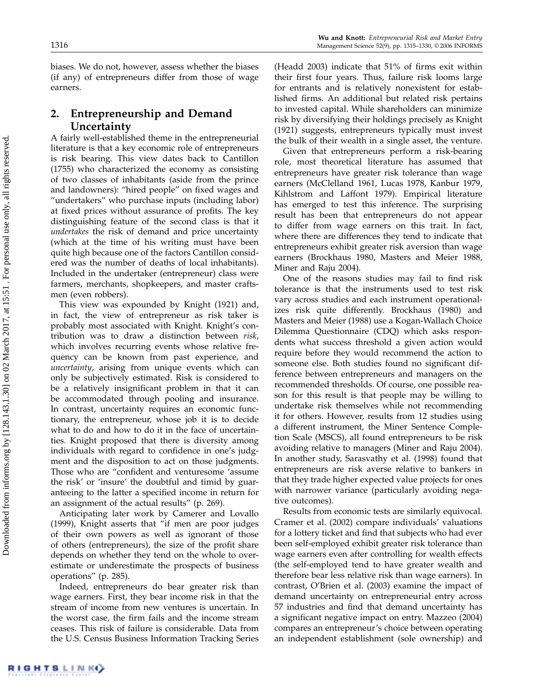biases. We do not, however, assess whether the biases (if any) of entrepreneurs differ from those of wage earners.

## 2. Entrepreneurship and Demand Uncertainty

A fairly well-established theme in the entrepreneurial literature is that a key economic role of entrepreneurs is risk bearing. This view dates back to Cantillon (1755) who characterized the economy as consisting of two classes of inhabitants (aside from the prince and landowners): "hired people" on fixed wages and "undertakers" who purchase inputs (including labor) at fixed prices without assurance of profits. The key distinguishing feature of the second class is that it undertakes the risk of demand and price uncertainty (which at the time of his writing must have been quite high because one of the factors Cantillon considered was the number of deaths of local inhabitants). Included in the undertaker (entrepreneur) class were farmers, merchants, shopkeepers, and master craftsmen (even robbers).

This view was expounded by Knight (1921) and, in fact, the view of entrepreneur as risk taker is probably most associated with Knight. Knight's contribution was to draw a distinction between risk, which involves recurring events whose relative frequency can be known from past experience, and uncertainty, arising from unique events which can only be subjectively estimated. Risk is considered to be a relatively insignificant problem in that it can be accommodated through pooling and insurance. In contrast, uncertainty requires an economic functionary, the entrepreneur, whose job it is to decide what to do and how to do it in the face of uncertainties. Knight proposed that there is diversity among individuals with regard to confidence in one's judgment and the disposition to act on those judgments. Those who are "confident and venturesome 'assume the risk' or 'insure' the doubtful and timid by guaranteeing to the latter a specified income in return for an assignment of the actual results" (p. 269).

Anticipating later work by Camerer and Lovallo (1999), Knight asserts that "if men are poor judges of their own powers as well as ignorant of those of others (entrepreneurs), the size of the profit share depends on whether they tend on the whole to overestimate or underestimate the prospects of business operations" (p. 285).

Indeed, entrepreneurs do bear greater risk than wage earners. First, they bear income risk in that the stream of income from new ventures is uncertain. In the worst case, the firm fails and the income stream ceases. This risk of failure is considerable. Data from the U.S. Census Business Information Tracking Series

(Headd 2003) indicate that 51% of firms exit within their first four years. Thus, failure risk looms large for entrants and is relatively nonexistent for established firms. An additional but related risk pertains to invested capital. While shareholders can minimize risk by diversifying their holdings precisely as Knight (1921) suggests, entrepreneurs typically must invest the bulk of their wealth in a single asset, the venture.

Given that entrepreneurs perform a risk-bearing role, most theoretical literature has assumed that entrepreneurs have greater risk tolerance than wage earners (McClelland 1961, Lucas 1978, Kanbur 1979, Kihlstrom and Laffont 1979). Empirical literature has emerged to test this inference. The surprising result has been that entrepreneurs do not appear to differ from wage earners on this trait. In fact, where there are differences they tend to indicate that entrepreneurs exhibit greater risk aversion than wage earners (Brockhaus 1980, Masters and Meier 1988, Miner and Raju 2004).

One of the reasons studies may fail to find risk tolerance is that the instruments used to test risk vary across studies and each instrument operationalizes risk quite differently. Brockhaus (1980) and Masters and Meier (1988) use a Kogan-Wallach Choice Dilemma Questionnaire (CDQ) which asks respondents what success threshold a given action would require before they would recommend the action to someone else. Both studies found no significant difference between entrepreneurs and managers on the recommended thresholds. Of course, one possible reason for this result is that people may be willing to undertake risk themselves while not recommending it for others. However, results from 12 studies using a different instrument, the Miner Sentence Completion Scale (MSCS), all found entrepreneurs to be risk avoiding relative to managers (Miner and Raju 2004). In another study, Sarasvathy et al. (1998) found that entrepreneurs are risk averse relative to bankers in that they trade higher expected value projects for ones with narrower variance (particularly avoiding negative outcomes).

Results from economic tests are similarly equivocal. Cramer et al. (2002) compare individuals' valuations for a lottery ticket and find that subjects who had ever been self-employed exhibit greater risk tolerance than wage earners even after controlling for wealth effects (the self-employed tend to have greater wealth and therefore bear less relative risk than wage earners). In contrast, O'Brien et al. (2003) examine the impact of demand uncertainty on entrepreneurial entry across 57 industries and find that demand uncertainty has a significant negative impact on entry. Mazzeo (2004) compares an entrepreneur's choice between operating an independent establishment (sole ownership) and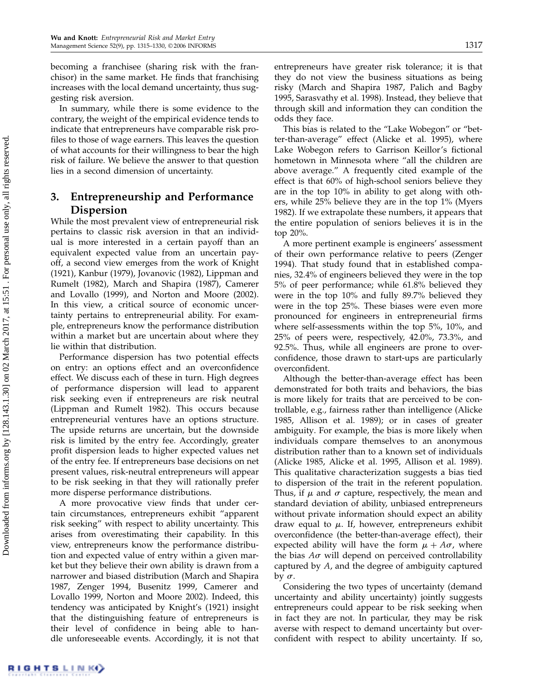becoming a franchisee (sharing risk with the franchisor) in the same market. He finds that franchising increases with the local demand uncertainty, thus suggesting risk aversion.

In summary, while there is some evidence to the contrary, the weight of the empirical evidence tends to indicate that entrepreneurs have comparable risk profiles to those of wage earners. This leaves the question of what accounts for their willingness to bear the high risk of failure. We believe the answer to that question lies in a second dimension of uncertainty.

## 3. Entrepreneurship and Performance Dispersion

While the most prevalent view of entrepreneurial risk pertains to classic risk aversion in that an individual is more interested in a certain payoff than an equivalent expected value from an uncertain payoff, a second view emerges from the work of Knight (1921), Kanbur (1979), Jovanovic (1982), Lippman and Rumelt (1982), March and Shapira (1987), Camerer and Lovallo (1999), and Norton and Moore (2002). In this view, a critical source of economic uncertainty pertains to entrepreneurial ability. For example, entrepreneurs know the performance distribution within a market but are uncertain about where they lie within that distribution.

Performance dispersion has two potential effects on entry: an options effect and an overconfidence effect. We discuss each of these in turn. High degrees of performance dispersion will lead to apparent risk seeking even if entrepreneurs are risk neutral (Lippman and Rumelt 1982). This occurs because entrepreneurial ventures have an options structure. The upside returns are uncertain, but the downside risk is limited by the entry fee. Accordingly, greater profit dispersion leads to higher expected values net of the entry fee. If entrepreneurs base decisions on net present values, risk-neutral entrepreneurs will appear to be risk seeking in that they will rationally prefer more disperse performance distributions.

A more provocative view finds that under certain circumstances, entrepreneurs exhibit "apparent risk seeking" with respect to ability uncertainty. This arises from overestimating their capability. In this view, entrepreneurs know the performance distribution and expected value of entry within a given market but they believe their own ability is drawn from a narrower and biased distribution (March and Shapira 1987, Zenger 1994, Busenitz 1999, Camerer and Lovallo 1999, Norton and Moore 2002). Indeed, this tendency was anticipated by Knight's (1921) insight that the distinguishing feature of entrepreneurs is their level of confidence in being able to handle unforeseeable events. Accordingly, it is not that entrepreneurs have greater risk tolerance; it is that they do not view the business situations as being risky (March and Shapira 1987, Palich and Bagby 1995, Sarasvathy et al. 1998). Instead, they believe that through skill and information they can condition the odds they face.

This bias is related to the "Lake Wobegon" or "better-than-average" effect (Alicke et al. 1995), where Lake Wobegon refers to Garrison Keillor's fictional hometown in Minnesota where "all the children are above average." A frequently cited example of the effect is that 60% of high-school seniors believe they are in the top 10% in ability to get along with others, while 25% believe they are in the top 1% (Myers 1982). If we extrapolate these numbers, it appears that the entire population of seniors believes it is in the top 20%.

A more pertinent example is engineers' assessment of their own performance relative to peers (Zenger 1994). That study found that in established companies, 32.4% of engineers believed they were in the top 5% of peer performance; while 61.8% believed they were in the top 10% and fully 89.7% believed they were in the top 25%. These biases were even more pronounced for engineers in entrepreneurial firms where self-assessments within the top 5%, 10%, and 25% of peers were, respectively, 42.0%, 73.3%, and 92.5%. Thus, while all engineers are prone to overconfidence, those drawn to start-ups are particularly overconfident.

Although the better-than-average effect has been demonstrated for both traits and behaviors, the bias is more likely for traits that are perceived to be controllable, e.g., fairness rather than intelligence (Alicke 1985, Allison et al. 1989); or in cases of greater ambiguity. For example, the bias is more likely when individuals compare themselves to an anonymous distribution rather than to a known set of individuals (Alicke 1985, Alicke et al. 1995, Allison et al. 1989). This qualitative characterization suggests a bias tied to dispersion of the trait in the referent population. Thus, if  $\mu$  and  $\sigma$  capture, respectively, the mean and standard deviation of ability, unbiased entrepreneurs without private information should expect an ability draw equal to  $\mu$ . If, however, entrepreneurs exhibit overconfidence (the better-than-average effect), their expected ability will have the form  $\mu + A\sigma$ , where the bias  $A\sigma$  will depend on perceived controllability captured by A, and the degree of ambiguity captured by  $\sigma$ .

Considering the two types of uncertainty (demand uncertainty and ability uncertainty) jointly suggests entrepreneurs could appear to be risk seeking when in fact they are not. In particular, they may be risk averse with respect to demand uncertainty but overconfident with respect to ability uncertainty. If so,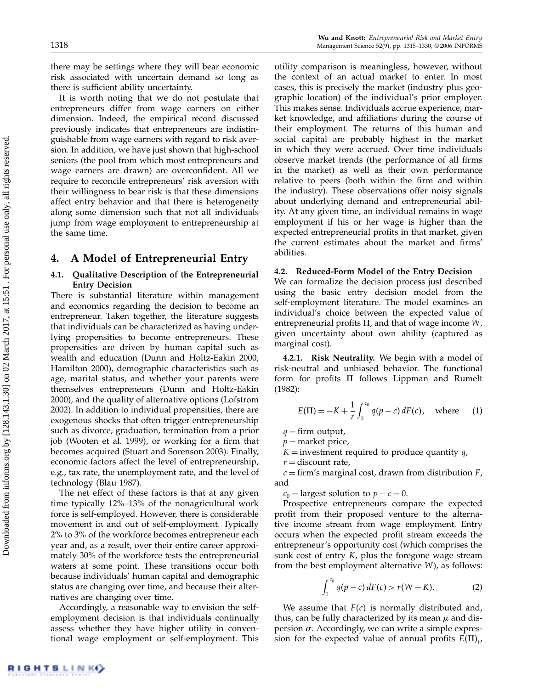there may be settings where they will bear economic risk associated with uncertain demand so long as there is sufficient ability uncertainty.

It is worth noting that we do not postulate that entrepreneurs differ from wage earners on either dimension. Indeed, the empirical record discussed previously indicates that entrepreneurs are indistinguishable from wage earners with regard to risk aversion. In addition, we have just shown that high-school seniors (the pool from which most entrepreneurs and wage earners are drawn) are overconfident. All we require to reconcile entrepreneurs' risk aversion with their willingness to bear risk is that these dimensions affect entry behavior and that there is heterogeneity along some dimension such that not all individuals jump from wage employment to entrepreneurship at the same time.

## 4. A Model of Entrepreneurial Entry

## 4.1. Qualitative Description of the Entrepreneurial Entry Decision

There is substantial literature within management and economics regarding the decision to become an entrepreneur. Taken together, the literature suggests that individuals can be characterized as having underlying propensities to become entrepreneurs. These propensities are driven by human capital such as wealth and education (Dunn and Holtz-Eakin 2000, Hamilton 2000), demographic characteristics such as age, marital status, and whether your parents were themselves entrepreneurs (Dunn and Holtz-Eakin 2000), and the quality of alternative options (Lofstrom 2002). In addition to individual propensities, there are exogenous shocks that often trigger entrepreneurship such as divorce, graduation, termination from a prior job (Wooten et al. 1999), or working for a firm that becomes acquired (Stuart and Sorenson 2003). Finally, economic factors affect the level of entrepreneurship, e.g., tax rate, the unemployment rate, and the level of technology (Blau 1987).

The net effect of these factors is that at any given time typically 12%–13% of the nonagricultural work force is self-employed. However, there is considerable movement in and out of self-employment. Typically 2% to 3% of the workforce becomes entrepreneur each year and, as a result, over their entire career approximately 30% of the workforce tests the entrepreneurial waters at some point. These transitions occur both because individuals' human capital and demographic status are changing over time, and because their alternatives are changing over time.

Accordingly, a reasonable way to envision the selfemployment decision is that individuals continually assess whether they have higher utility in conventional wage employment or self-employment. This utility comparison is meaningless, however, without the context of an actual market to enter. In most cases, this is precisely the market (industry plus geographic location) of the individual's prior employer. This makes sense. Individuals accrue experience, market knowledge, and affiliations during the course of their employment. The returns of this human and social capital are probably highest in the market in which they were accrued. Over time individuals observe market trends (the performance of all firms in the market) as well as their own performance relative to peers (both within the firm and within the industry). These observations offer noisy signals about underlying demand and entrepreneurial ability. At any given time, an individual remains in wage employment if his or her wage is higher than the expected entrepreneurial profits in that market, given the current estimates about the market and firms' abilities.

## 4.2. Reduced-Form Model of the Entry Decision

We can formalize the decision process just described using the basic entry decision model from the self-employment literature. The model examines an individual's choice between the expected value of entrepreneurial profits  $\Pi$ , and that of wage income  $W$ , given uncertainty about own ability (captured as marginal cost).

4.2.1. Risk Neutrality. We begin with a model of risk-neutral and unbiased behavior. The functional form for profits  $\Pi$  follows Lippman and Rumelt (1982):

$$
E(\Pi) = -K + \frac{1}{r} \int_0^{c_0} q(p - c) dF(c), \text{ where } (1)
$$

 $q = \text{firm output},$ 

 $p =$  market price,

 $K =$  investment required to produce quantity q,

 $r =$  discount rate,

 $c =$  firm's marginal cost, drawn from distribution  $F$ , and

 $c_0$  = largest solution to  $p - c = 0$ .

Prospective entrepreneurs compare the expected profit from their proposed venture to the alternative income stream from wage employment. Entry occurs when the expected profit stream exceeds the entrepreneur's opportunity cost (which comprises the sunk cost of entry K, plus the foregone wage stream from the best employment alternative W), as follows:

$$
\int_0^{c_0} q(p-c) dF(c) > r(W+K).
$$
 (2)

We assume that  $F(c)$  is normally distributed and, thus, can be fully characterized by its mean  $\mu$  and dispersion  $\sigma$ . Accordingly, we can write a simple expression for the expected value of annual profits  $E(\Pi)_{t}$ ,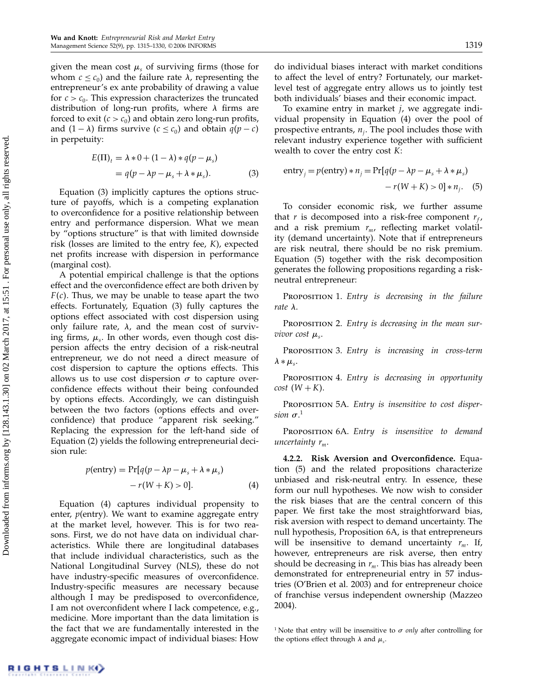given the mean cost  $\mu_s$  of surviving firms (those for whom  $c \leq c_0$ ) and the failure rate  $\lambda$ , representing the entrepreneur's ex ante probability of drawing a value for  $c > c_0$ . This expression characterizes the truncated distribution of long-run profits, where  $\lambda$  firms are forced to exit ( $c > c_0$ ) and obtain zero long-run profits, and  $(1 - \lambda)$  firms survive  $(c \leq c_0)$  and obtain  $q(p - c)$ in perpetuity:

$$
E(\Pi)_t = \lambda * 0 + (1 - \lambda) * q(p - \mu_s)
$$
  
=  $q(p - \lambda p - \mu_s + \lambda * \mu_s).$  (3)

Equation (3) implicitly captures the options structure of payoffs, which is a competing explanation to overconfidence for a positive relationship between entry and performance dispersion. What we mean by "options structure" is that with limited downside risk (losses are limited to the entry fee, K), expected net profits increase with dispersion in performance (marginal cost).

A potential empirical challenge is that the options effect and the overconfidence effect are both driven by  $F(c)$ . Thus, we may be unable to tease apart the two effects. Fortunately, Equation (3) fully captures the options effect associated with cost dispersion using only failure rate,  $\lambda$ , and the mean cost of surviving firms,  $\mu_s$ . In other words, even though cost dispersion affects the entry decision of a risk-neutral entrepreneur, we do not need a direct measure of cost dispersion to capture the options effects. This allows us to use cost dispersion  $\sigma$  to capture overconfidence effects without their being confounded by options effects. Accordingly, we can distinguish between the two factors (options effects and overconfidence) that produce "apparent risk seeking." Replacing the expression for the left-hand side of Equation (2) yields the following entrepreneurial decision rule:

$$
p(\text{entry}) = \Pr[q(p - \lambda p - \mu_s + \lambda * \mu_s) - r(W + K) > 0].
$$
 (4)

Equation (4) captures individual propensity to enter,  $p(entry)$ . We want to examine aggregate entry at the market level, however. This is for two reasons. First, we do not have data on individual characteristics. While there are longitudinal databases that include individual characteristics, such as the National Longitudinal Survey (NLS), these do not have industry-specific measures of overconfidence. Industry-specific measures are necessary because although I may be predisposed to overconfidence, I am not overconfident where I lack competence, e.g., medicine. More important than the data limitation is the fact that we are fundamentally interested in the aggregate economic impact of individual biases: How

do individual biases interact with market conditions to affect the level of entry? Fortunately, our marketlevel test of aggregate entry allows us to jointly test both individuals' biases and their economic impact.

To examine entry in market  $j$ , we aggregate individual propensity in Equation (4) over the pool of prospective entrants,  $n_i$ . The pool includes those with relevant industry experience together with sufficient wealth to cover the entry cost K:

$$
entry_j = p(entry) * n_j = Pr[q(p - \lambda p - \mu_s + \lambda * \mu_s)
$$

$$
- r(W + K) > 0] * n_j. \quad (5)
$$

To consider economic risk, we further assume that r is decomposed into a risk-free component  $r_f$ , and a risk premium  $r_m$ , reflecting market volatility (demand uncertainty). Note that if entrepreneurs are risk neutral, there should be no risk premium. Equation (5) together with the risk decomposition generates the following propositions regarding a riskneutral entrepreneur:

PROPOSITION 1. Entry is decreasing in the failure rate  $\lambda$ .

PROPOSITION 2. Entry is decreasing in the mean survivor cost  $\mu_s$ .

PROPOSITION 3. Entry is increasing in cross-term  $\lambda * \mu_s$ .

PROPOSITION 4. Entry is decreasing in opportunity  $cost(W + K)$ .

PROPOSITION 5A. Entry is insensitive to cost dispersion  $\sigma$ .<sup>1</sup>

PROPOSITION 6A. Entry is insensitive to demand uncertainty  $r_m$ .

4.2.2. Risk Aversion and Overconfidence. Equation (5) and the related propositions characterize unbiased and risk-neutral entry. In essence, these form our null hypotheses. We now wish to consider the risk biases that are the central concern of this paper. We first take the most straightforward bias, risk aversion with respect to demand uncertainty. The null hypothesis, Proposition 6A, is that entrepreneurs will be insensitive to demand uncertainty  $r_m$ . If, however, entrepreneurs are risk averse, then entry should be decreasing in  $r_m$ . This bias has already been demonstrated for entrepreneurial entry in 57 industries (O'Brien et al. 2003) and for entrepreneur choice of franchise versus independent ownership (Mazzeo 2004).

<sup>1</sup> Note that entry will be insensitive to  $\sigma$  only after controlling for the options effect through  $\lambda$  and  $\mu_s$ .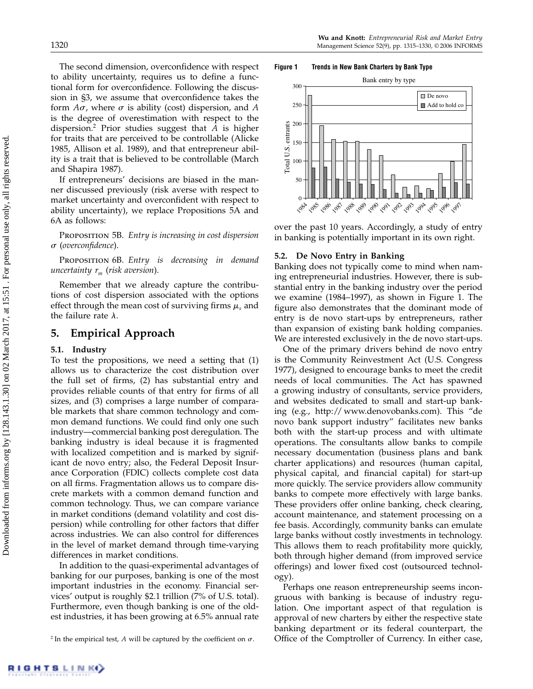The second dimension, overconfidence with respect to ability uncertainty, requires us to define a functional form for overconfidence. Following the discussion in §3, we assume that overconfidence takes the form  $A\sigma$ , where  $\sigma$  is ability (cost) dispersion, and  $A$ is the degree of overestimation with respect to the dispersion.<sup>2</sup> Prior studies suggest that  $A$  is higher for traits that are perceived to be controllable (Alicke 1985, Allison et al. 1989), and that entrepreneur ability is a trait that is believed to be controllable (March and Shapira 1987).

If entrepreneurs' decisions are biased in the manner discussed previously (risk averse with respect to market uncertainty and overconfident with respect to ability uncertainty), we replace Propositions 5A and 6A as follows:

PROPOSITION 5B. Entry is increasing in cost dispersion  $\sigma$  (overconfidence).

PROPOSITION 6B. Entry is decreasing in demand uncertainty  $r_m$  (risk aversion).

Remember that we already capture the contributions of cost dispersion associated with the options effect through the mean cost of surviving firms  $\mu_s$  and the failure rate  $\lambda$ .

## 5. Empirical Approach

## 5.1. Industry

To test the propositions, we need a setting that (1) allows us to characterize the cost distribution over the full set of firms, (2) has substantial entry and provides reliable counts of that entry for firms of all sizes, and (3) comprises a large number of comparable markets that share common technology and common demand functions. We could find only one such industry—commercial banking post deregulation. The banking industry is ideal because it is fragmented with localized competition and is marked by significant de novo entry; also, the Federal Deposit Insurance Corporation (FDIC) collects complete cost data on all firms. Fragmentation allows us to compare discrete markets with a common demand function and common technology. Thus, we can compare variance in market conditions (demand volatility and cost dispersion) while controlling for other factors that differ across industries. We can also control for differences in the level of market demand through time-varying differences in market conditions.

In addition to the quasi-experimental advantages of banking for our purposes, banking is one of the most important industries in the economy. Financial services' output is roughly \$2.1 trillion (7% of U.S. total). Furthermore, even though banking is one of the oldest industries, it has been growing at 6.5% annual rate

Figure 1 Trends in New Bank Charters by Bank Type



over the past 10 years. Accordingly, a study of entry in banking is potentially important in its own right.

#### 5.2. De Novo Entry in Banking

Banking does not typically come to mind when naming entrepreneurial industries. However, there is substantial entry in the banking industry over the period we examine (1984–1997), as shown in Figure 1. The figure also demonstrates that the dominant mode of entry is de novo start-ups by entrepreneurs, rather than expansion of existing bank holding companies. We are interested exclusively in the de novo start-ups.

One of the primary drivers behind de novo entry is the Community Reinvestment Act (U.S. Congress 1977), designed to encourage banks to meet the credit needs of local communities. The Act has spawned a growing industry of consultants, service providers, and websites dedicated to small and start-up banking (e.g., http:// www.denovobanks.com). This "de novo bank support industry" facilitates new banks both with the start-up process and with ultimate operations. The consultants allow banks to compile necessary documentation (business plans and bank charter applications) and resources (human capital, physical capital, and financial capital) for start-up more quickly. The service providers allow community banks to compete more effectively with large banks. These providers offer online banking, check clearing, account maintenance, and statement processing on a fee basis. Accordingly, community banks can emulate large banks without costly investments in technology. This allows them to reach profitability more quickly, both through higher demand (from improved service offerings) and lower fixed cost (outsourced technology).

Perhaps one reason entrepreneurship seems incongruous with banking is because of industry regulation. One important aspect of that regulation is approval of new charters by either the respective state banking department or its federal counterpart, the Office of the Comptroller of Currency. In either case,

<sup>&</sup>lt;sup>2</sup> In the empirical test, A will be captured by the coefficient on  $\sigma$ .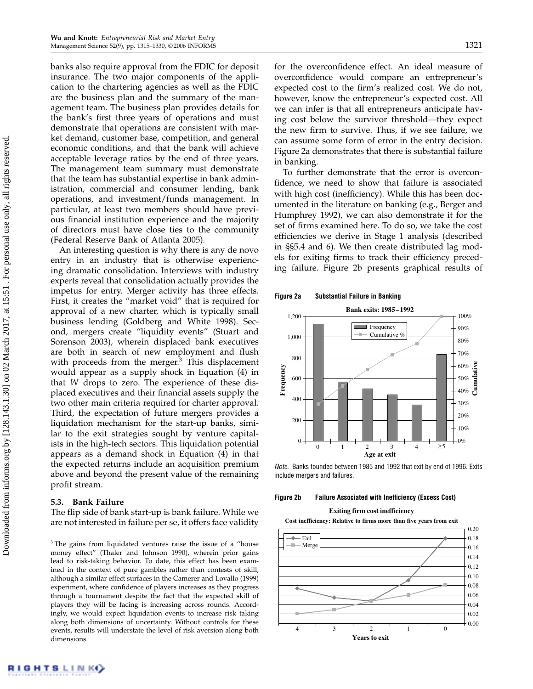banks also require approval from the FDIC for deposit insurance. The two major components of the application to the chartering agencies as well as the FDIC are the business plan and the summary of the management team. The business plan provides details for the bank's first three years of operations and must demonstrate that operations are consistent with market demand, customer base, competition, and general economic conditions, and that the bank will achieve acceptable leverage ratios by the end of three years. The management team summary must demonstrate that the team has substantial expertise in bank administration, commercial and consumer lending, bank operations, and investment/funds management. In particular, at least two members should have previous financial institution experience and the majority of directors must have close ties to the community (Federal Reserve Bank of Atlanta 2005).

An interesting question is why there is any de novo entry in an industry that is otherwise experiencing dramatic consolidation. Interviews with industry experts reveal that consolidation actually provides the impetus for entry. Merger activity has three effects. First, it creates the "market void" that is required for approval of a new charter, which is typically small business lending (Goldberg and White 1998). Second, mergers create "liquidity events" (Stuart and Sorenson 2003), wherein displaced bank executives are both in search of new employment and flush with proceeds from the merger. $3$  This displacement would appear as a supply shock in Equation (4) in that W drops to zero. The experience of these displaced executives and their financial assets supply the two other main criteria required for charter approval. Third, the expectation of future mergers provides a liquidation mechanism for the start-up banks, similar to the exit strategies sought by venture capitalists in the high-tech sectors. This liquidation potential appears as a demand shock in Equation (4) in that the expected returns include an acquisition premium above and beyond the present value of the remaining profit stream.

## 5.3. Bank Failure

The flip side of bank start-up is bank failure. While we are not interested in failure per se, it offers face validity

<sup>3</sup> The gains from liquidated ventures raise the issue of a "house money effect" (Thaler and Johnson 1990), wherein prior gains lead to risk-taking behavior. To date, this effect has been examined in the context of pure gambles rather than contests of skill, although a similar effect surfaces in the Camerer and Lovallo (1999) experiment, where confidence of players increases as they progress through a tournament despite the fact that the expected skill of players they will be facing is increasing across rounds. Accordingly, we would expect liquidation events to increase risk taking along both dimensions of uncertainty. Without controls for these events, results will understate the level of risk aversion along both dimensions.

for the overconfidence effect. An ideal measure of overconfidence would compare an entrepreneur's expected cost to the firm's realized cost. We do not, however, know the entrepreneur's expected cost. All we can infer is that all entrepreneurs anticipate having cost below the survivor threshold—they expect the new firm to survive. Thus, if we see failure, we can assume some form of error in the entry decision. Figure 2a demonstrates that there is substantial failure in banking.

To further demonstrate that the error is overconfidence, we need to show that failure is associated with high cost (inefficiency). While this has been documented in the literature on banking (e.g., Berger and Humphrey 1992), we can also demonstrate it for the set of firms examined here. To do so, we take the cost efficiencies we derive in Stage 1 analysis (described in §§5.4 and 6). We then create distributed lag models for exiting firms to track their efficiency preceding failure. Figure 2b presents graphical results of





Note. Banks founded between 1985 and 1992 that exit by end of 1996. Exits include mergers and failures.

#### Figure 2b Failure Associated with Inefficiency (Excess Cost)

#### **Exiting firm cost inefficiency**

**Cost inefficiency: Relative to firms more than five years from exit**

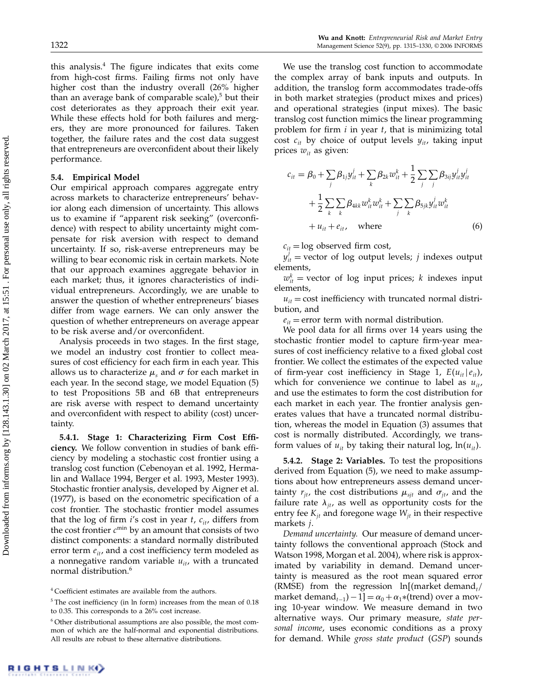this analysis. $4$  The figure indicates that exits come from high-cost firms. Failing firms not only have higher cost than the industry overall (26% higher than an average bank of comparable scale), $5$  but their cost deteriorates as they approach their exit year. While these effects hold for both failures and mergers, they are more pronounced for failures. Taken together, the failure rates and the cost data suggest that entrepreneurs are overconfident about their likely performance.

#### 5.4. Empirical Model

Our empirical approach compares aggregate entry across markets to characterize entrepreneurs' behavior along each dimension of uncertainty. This allows us to examine if "apparent risk seeking" (overconfidence) with respect to ability uncertainty might compensate for risk aversion with respect to demand uncertainty. If so, risk-averse entrepreneurs may be willing to bear economic risk in certain markets. Note that our approach examines aggregate behavior in each market; thus, it ignores characteristics of individual entrepreneurs. Accordingly, we are unable to answer the question of whether entrepreneurs' biases differ from wage earners. We can only answer the question of whether entrepreneurs on average appear to be risk averse and/or overconfident.

Analysis proceeds in two stages. In the first stage, we model an industry cost frontier to collect measures of cost efficiency for each firm in each year. This allows us to characterize  $\mu_s$  and  $\sigma$  for each market in each year. In the second stage, we model Equation (5) to test Propositions 5B and 6B that entrepreneurs are risk averse with respect to demand uncertainty and overconfident with respect to ability (cost) uncertainty.

5.4.1. Stage 1: Characterizing Firm Cost Efficiency. We follow convention in studies of bank efficiency by modeling a stochastic cost frontier using a translog cost function (Cebenoyan et al. 1992, Hermalin and Wallace 1994, Berger et al. 1993, Mester 1993). Stochastic frontier analysis, developed by Aigner et al. (1977), is based on the econometric specification of a cost frontier. The stochastic frontier model assumes that the log of firm  $i$ 's cost in year t,  $c_{it}$ , differs from the cost frontier  $c^{min}$  by an amount that consists of two distinct components: a standard normally distributed error term  $e_{it}$ , and a cost inefficiency term modeled as a nonnegative random variable  $u_{it}$ , with a truncated normal distribution.<sup>6</sup>

<sup>4</sup> Coefficient estimates are available from the authors.

We use the translog cost function to accommodate the complex array of bank inputs and outputs. In addition, the translog form accommodates trade-offs in both market strategies (product mixes and prices) and operational strategies (input mixes). The basic translog cost function mimics the linear programming problem for firm  $i$  in year  $t$ , that is minimizing total cost  $c_{it}$  by choice of output levels  $y_{it}$ , taking input prices  $w_{it}$  as given:

$$
c_{it} = \beta_0 + \sum_{j} \beta_{1j} y_{it}^j + \sum_{k} \beta_{2k} w_{it}^k + \frac{1}{2} \sum_{j} \sum_{j} \beta_{3ij} y_{it}^j y_{it}^j
$$
  
+ 
$$
\frac{1}{2} \sum_{k} \sum_{k} \beta_{4kk} w_{it}^k w_{it}^k + \sum_{j} \sum_{k} \beta_{5jk} y_{it}^j w_{it}^k
$$
  
+ 
$$
u_{it} + e_{it}
$$
, where (6)

 $c_{it} = \log$  observed firm cost,

 $y_{it}^j$  = vector of log output levels; *j* indexes output elements,

 $w_{it}^k$  = vector of log input prices; k indexes input elements,

 $u_{it}$  = cost inefficiency with truncated normal distribution, and

 $e_{it}$  = error term with normal distribution.

We pool data for all firms over 14 years using the stochastic frontier model to capture firm-year measures of cost inefficiency relative to a fixed global cost frontier. We collect the estimates of the expected value of firm-year cost inefficiency in Stage 1,  $E(u_{it} | e_{it})$ , which for convenience we continue to label as  $u_{it}$ , and use the estimates to form the cost distribution for each market in each year. The frontier analysis generates values that have a truncated normal distribution, whereas the model in Equation (3) assumes that cost is normally distributed. Accordingly, we transform values of  $u_{it}$  by taking their natural log,  $ln(u_{it})$ .

5.4.2. Stage 2: Variables. To test the propositions derived from Equation (5), we need to make assumptions about how entrepreneurs assess demand uncertainty  $r_{jt}$ , the cost distributions  $\mu_{sjt}$  and  $\sigma_{jt}$ , and the failure rate  $\lambda_{jt}$ , as well as opportunity costs for the entry fee  $K_{jt}$  and foregone wage  $W_{jt}$  in their respective markets j.

Demand uncertainty. Our measure of demand uncertainty follows the conventional approach (Stock and Watson 1998, Morgan et al. 2004), where risk is approximated by variability in demand. Demand uncertainty is measured as the root mean squared error (RMSE) from the regression  $ln(market demand_t)$ market demand<sub>t−1</sub> $-1$ ] =  $\alpha_0 + \alpha_1$ ∗(trend) over a moving 10-year window. We measure demand in two alternative ways. Our primary measure, state personal income, uses economic conditions as a proxy for demand. While gross state product (GSP) sounds

<sup>5</sup> The cost inefficiency (in ln form) increases from the mean of 0.18 to 0.35. This corresponds to a 26% cost increase.

<sup>6</sup> Other distributional assumptions are also possible, the most common of which are the half-normal and exponential distributions. All results are robust to these alternative distributions.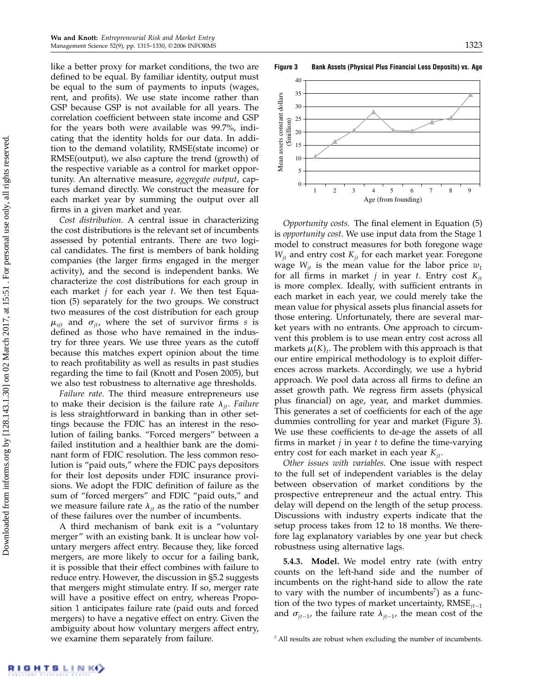like a better proxy for market conditions, the two are defined to be equal. By familiar identity, output must be equal to the sum of payments to inputs (wages, rent, and profits). We use state income rather than GSP because GSP is not available for all years. The correlation coefficient between state income and GSP for the years both were available was 99.7%, indicating that the identity holds for our data. In addition to the demand volatility, RMSE(state income) or RMSE(output), we also capture the trend (growth) of the respective variable as a control for market opportunity. An alternative measure, aggregate output, captures demand directly. We construct the measure for each market year by summing the output over all firms in a given market and year.

Cost distribution. A central issue in characterizing the cost distributions is the relevant set of incumbents assessed by potential entrants. There are two logical candidates. The first is members of bank holding companies (the larger firms engaged in the merger activity), and the second is independent banks. We characterize the cost distributions for each group in each market  $j$  for each year  $t$ . We then test Equation (5) separately for the two groups. We construct two measures of the cost distribution for each group  $\mu_{sjt}$  and  $\sigma_{jt}$ , where the set of survivor firms s is defined as those who have remained in the industry for three years. We use three years as the cutoff because this matches expert opinion about the time to reach profitability as well as results in past studies regarding the time to fail (Knott and Posen 2005), but we also test robustness to alternative age thresholds.

Failure rate. The third measure entrepreneurs use to make their decision is the failure rate  $\lambda_{it}$ . Failure is less straightforward in banking than in other settings because the FDIC has an interest in the resolution of failing banks. "Forced mergers" between a failed institution and a healthier bank are the dominant form of FDIC resolution. The less common resolution is "paid outs," where the FDIC pays depositors for their lost deposits under FDIC insurance provisions. We adopt the FDIC definition of failure as the sum of "forced mergers" and FDIC "paid outs," and we measure failure rate  $\lambda_{it}$  as the ratio of the number of these failures over the number of incumbents.

A third mechanism of bank exit is a "voluntary merger" with an existing bank. It is unclear how voluntary mergers affect entry. Because they, like forced mergers, are more likely to occur for a failing bank, it is possible that their effect combines with failure to reduce entry. However, the discussion in §5.2 suggests that mergers might stimulate entry. If so, merger rate will have a positive effect on entry, whereas Proposition 1 anticipates failure rate (paid outs and forced mergers) to have a negative effect on entry. Given the ambiguity about how voluntary mergers affect entry, we examine them separately from failure.



(\$million)



Other issues with variables. One issue with respect to the full set of independent variables is the delay between observation of market conditions by the prospective entrepreneur and the actual entry. This delay will depend on the length of the setup process. Discussions with industry experts indicate that the setup process takes from 12 to 18 months. We therefore lag explanatory variables by one year but check robustness using alternative lags.

5.4.3. Model. We model entry rate (with entry counts on the left-hand side and the number of incumbents on the right-hand side to allow the rate to vary with the number of incumbents<sup>7</sup>) as a function of the two types of market uncertainty,  $RMSE_{it-1}$ and  $\sigma_{jt-1}$ , the failure rate  $\lambda_{jt-1}$ , the mean cost of the

<sup>7</sup> All results are robust when excluding the number of incumbents.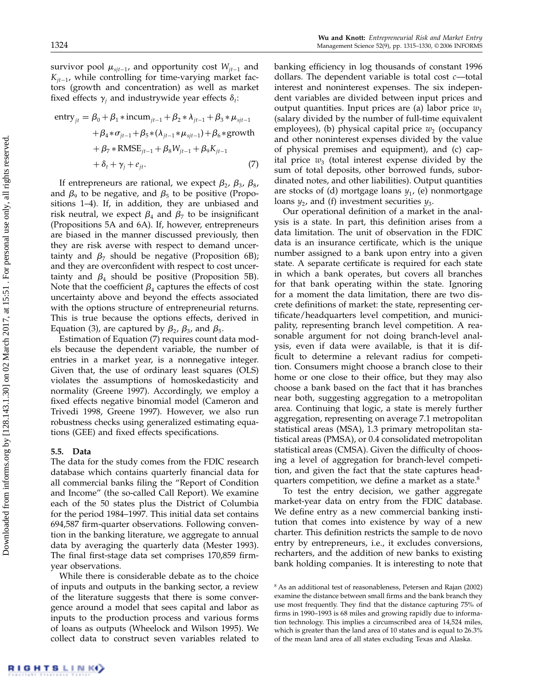survivor pool  $\mu_{sjt-1}$ , and opportunity cost  $W_{jt-1}$  and  $K_{it-1}$ , while controlling for time-varying market factors (growth and concentration) as well as market fixed effects  $\gamma_i$  and industrywide year effects  $\delta_i$ :

entry<sub>jt</sub> = 
$$
\beta_0 + \beta_1 * \text{incum}_{jt-1} + \beta_2 * \lambda_{jt-1} + \beta_3 * \mu_{sjt-1}
$$
  
+  $\beta_4 * \sigma_{jt-1} + \beta_5 * (\lambda_{jt-1} * \mu_{sjt-1}) + \beta_6 * \text{growth}$   
+  $\beta_7 * \text{RMSE}_{jt-1} + \beta_8 W_{jt-1} + \beta_9 K_{jt-1}$   
+  $\delta_t + \gamma_j + e_{jt}$ . (7)

If entrepreneurs are rational, we expect  $\beta_2$ ,  $\beta_3$ ,  $\beta_8$ , and  $\beta_9$  to be negative, and  $\beta_5$  to be positive (Propositions 1–4). If, in addition, they are unbiased and risk neutral, we expect  $\beta_4$  and  $\beta_7$  to be insignificant (Propositions 5A and 6A). If, however, entrepreneurs are biased in the manner discussed previously, then they are risk averse with respect to demand uncertainty and  $\beta$ <sub>7</sub> should be negative (Proposition 6B); and they are overconfident with respect to cost uncertainty and  $\beta_4$  should be positive (Proposition 5B). Note that the coefficient  $\beta_4$  captures the effects of cost uncertainty above and beyond the effects associated with the options structure of entrepreneurial returns. This is true because the options effects, derived in Equation (3), are captured by  $\beta_2$ ,  $\beta_3$ , and  $\beta_5$ .

Estimation of Equation (7) requires count data models because the dependent variable, the number of entries in a market year, is a nonnegative integer. Given that, the use of ordinary least squares (OLS) violates the assumptions of homoskedasticity and normality (Greene 1997). Accordingly, we employ a fixed effects negative binomial model (Cameron and Trivedi 1998, Greene 1997). However, we also run robustness checks using generalized estimating equations (GEE) and fixed effects specifications.

## 5.5. Data

The data for the study comes from the FDIC research database which contains quarterly financial data for all commercial banks filing the "Report of Condition and Income" (the so-called Call Report). We examine each of the 50 states plus the District of Columbia for the period 1984–1997. This initial data set contains 694,587 firm-quarter observations. Following convention in the banking literature, we aggregate to annual data by averaging the quarterly data (Mester 1993). The final first-stage data set comprises 170,859 firmyear observations.

While there is considerable debate as to the choice of inputs and outputs in the banking sector, a review of the literature suggests that there is some convergence around a model that sees capital and labor as inputs to the production process and various forms of loans as outputs (Wheelock and Wilson 1995). We collect data to construct seven variables related to banking efficiency in log thousands of constant 1996 dollars. The dependent variable is total cost  $c$ —total interest and noninterest expenses. The six independent variables are divided between input prices and output quantities. Input prices are (a) labor price  $w_1$ (salary divided by the number of full-time equivalent employees), (b) physical capital price  $w_2$  (occupancy and other noninterest expenses divided by the value of physical premises and equipment), and (c) capital price  $w_3$  (total interest expense divided by the sum of total deposits, other borrowed funds, subordinated notes, and other liabilities). Output quantities are stocks of (d) mortgage loans  $y_1$ , (e) nonmortgage loans  $y_2$ , and (f) investment securities  $y_3$ .

Our operational definition of a market in the analysis is a state. In part, this definition arises from a data limitation. The unit of observation in the FDIC data is an insurance certificate, which is the unique number assigned to a bank upon entry into a given state. A separate certificate is required for each state in which a bank operates, but covers all branches for that bank operating within the state. Ignoring for a moment the data limitation, there are two discrete definitions of market: the state, representing certificate/headquarters level competition, and municipality, representing branch level competition. A reasonable argument for not doing branch-level analysis, even if data were available, is that it is difficult to determine a relevant radius for competition. Consumers might choose a branch close to their home or one close to their office, but they may also choose a bank based on the fact that it has branches near both, suggesting aggregation to a metropolitan area. Continuing that logic, a state is merely further aggregation, representing on average 7.1 metropolitan statistical areas (MSA), 1.3 primary metropolitan statistical areas (PMSA), or 0.4 consolidated metropolitan statistical areas (CMSA). Given the difficulty of choosing a level of aggregation for branch-level competition, and given the fact that the state captures headquarters competition, we define a market as a state.<sup>8</sup>

To test the entry decision, we gather aggregate market-year data on entry from the FDIC database. We define entry as a new commercial banking institution that comes into existence by way of a new charter. This definition restricts the sample to de novo entry by entrepreneurs, i.e., it excludes conversions, recharters, and the addition of new banks to existing bank holding companies. It is interesting to note that

<sup>8</sup> As an additional test of reasonableness, Petersen and Rajan (2002) examine the distance between small firms and the bank branch they use most frequently. They find that the distance capturing 75% of firms in 1990–1993 is 68 miles and growing rapidly due to information technology. This implies a circumscribed area of 14,524 miles, which is greater than the land area of 10 states and is equal to 26.3% of the mean land area of all states excluding Texas and Alaska.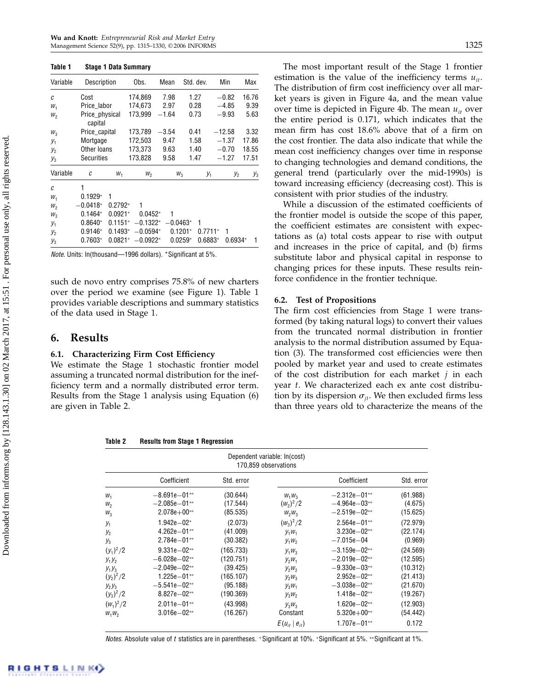#### Table 1 Stage 1 Data Summary

| Variable       | Description               |           | Obs.       | Mean    | Std. dev.      | Min            | Max            |
|----------------|---------------------------|-----------|------------|---------|----------------|----------------|----------------|
| C              | Cost                      |           | 174,869    | 7.98    | 1.27           | $-0.82$        | 16.76          |
| $W_1$          | Price_labor               |           | 174,673    | 2.97    | 0.28           | $-4.85$        | 9.39           |
| W <sub>2</sub> | Price physical<br>capital |           | 173,999    | $-1.64$ | 0.73           | $-9.93$        | 5.63           |
| $W_3$          | Price_capital             |           | 173,789    | $-3.54$ | 0.41           | $-12.58$       | 3.32           |
| y <sub>1</sub> | Mortgage                  |           | 172.503    | 9.47    | 1.58           | $-1.37$        | 17.86          |
| y,             | Other Ioans               |           | 173,373    | 9.63    | 1.40           | $-0.70$        | 18.55          |
| $y_3$          | <b>Securities</b>         |           | 173,828    | 9.58    | 1.47           | $-1.27$        | 17.51          |
| Variable       | С                         | $W_1$     | $W_2$      |         | $W_3$          | $y_1$          | y,<br>$y_{3}$  |
| C              | 1                         |           |            |         |                |                |                |
| $W_1$          | $0.1929*$                 | 1         |            |         |                |                |                |
| W <sub>2</sub> | $-0.0418*$                | $0.2792*$ | 1          |         |                |                |                |
| $W_3$          | $0.1464*$                 | $0.0921*$ | $0.0452*$  | 1       |                |                |                |
| y <sub>1</sub> | $0.8640*$                 | $0.1151*$ | $0.1322*$  |         | $0.0463*$<br>1 |                |                |
| y,             | $0.9146*$                 | $0.1493*$ | $-0.0594*$ |         | $0.1201*$      | $0.7711*$<br>1 |                |
| $y_3$          | $0.7603*$                 | $0.0821*$ | $-0.0922*$ |         | $0.0259*$      | $0.6883*$      | $0.6934*$<br>1 |

Note. Units: ln(thousand—1996 dollars). \*Significant at 5%.

such de novo entry comprises 75.8% of new charters over the period we examine (see Figure 1). Table 1 provides variable descriptions and summary statistics of the data used in Stage 1.

## 6. Results

#### 6.1. Characterizing Firm Cost Efficiency

We estimate the Stage 1 stochastic frontier model assuming a truncated normal distribution for the inefficiency term and a normally distributed error term. Results from the Stage 1 analysis using Equation (6) are given in Table 2.

The most important result of the Stage 1 frontier estimation is the value of the inefficiency terms  $u_{it}$ . The distribution of firm cost inefficiency over all market years is given in Figure 4a, and the mean value over time is depicted in Figure 4b. The mean  $u_{it}$  over the entire period is 0.171, which indicates that the mean firm has cost 18.6% above that of a firm on the cost frontier. The data also indicate that while the mean cost inefficiency changes over time in response to changing technologies and demand conditions, the general trend (particularly over the mid-1990s) is toward increasing efficiency (decreasing cost). This is consistent with prior studies of the industry.

While a discussion of the estimated coefficients of the frontier model is outside the scope of this paper, the coefficient estimates are consistent with expectations as (a) total costs appear to rise with output and increases in the price of capital, and (b) firms substitute labor and physical capital in response to changing prices for these inputs. These results reinforce confidence in the frontier technique.

#### 6.2. Test of Propositions

The firm cost efficiencies from Stage 1 were transformed (by taking natural logs) to convert their values from the truncated normal distribution in frontier analysis to the normal distribution assumed by Equation (3). The transformed cost efficiencies were then pooled by market year and used to create estimates of the cost distribution for each market  $j$  in each year t. We characterized each ex ante cost distribution by its dispersion  $\sigma_{jt}.$  We then excluded firms less than three years old to characterize the means of the

Table 2 Results from Stage 1 Regression

|                |                  |            | Dependent variable: In(cost)<br>170,859 observations |                  |            |
|----------------|------------------|------------|------------------------------------------------------|------------------|------------|
|                | Coefficient      | Std. error |                                                      | Coefficient      | Std. error |
| $W_1$          | $-8.691e - 01**$ | (30.644)   | $W_1W_3$                                             | $-2.312e - 01**$ | (61.988)   |
| $W_2$          | $-2.085e - 01**$ | (17.544)   | $(w_2)^2/2$                                          | $-4.964e - 03**$ | (4.675)    |
| $W_3$          | $2.078e+00**$    | (85.535)   | $W_2W_3$                                             | $-2.519e - 02**$ | (15.625)   |
| y <sub>1</sub> | $1.942e - 02*$   | (2.073)    | $(W_3)^2/2$                                          | $2.564e - 01**$  | (72.979)   |
| $y_2$          | $4.262e - 01**$  | (41.009)   | $y_1w_1$                                             | $3.230e - 02**$  | (22.174)   |
| $y_3$          | $2.784e - 01**$  | (30.382)   | $y_1w_2$                                             | $-7.015e - 04$   | (0.969)    |
| $(y_1)^2/2$    | $9.331e - 02**$  | (165.733)  | $V_1W_3$                                             | $-3.159e - 02**$ | (24.569)   |
| $y_1y_2$       | $-6.028e - 02**$ | (120.751)  | $y_2W_1$                                             | $-2.019e - 02**$ | (12.595)   |
| $y_1y_3$       | $-2.049e - 02**$ | (39.425)   | $y_2w_2$                                             | $-9.330e - 03**$ | (10.312)   |
| $(y_2)^2/2$    | $1.225e - 01**$  | (165.107)  | $V_2W_3$                                             | $2.952e - 02**$  | (21.413)   |
| $y_2y_3$       | $-5.541e - 02**$ | (95.188)   | $y_3W_1$                                             | $-3.038e - 02**$ | (21.670)   |
| $(y_3)^2/2$    | $8.827e - 02**$  | (190.369)  | $y_3w_2$                                             | $1.418e - 02**$  | (19.267)   |
| $(W_1)^2/2$    | $2.011e - 01**$  | (43.998)   | $V_3W_3$                                             | $1.620e - 02**$  | (12.903)   |
| $W_1W_2$       | $3.016e - 02**$  | (16.267)   | Constant                                             | $5.320e + 00**$  | (54.442)   |
|                |                  |            | $E(u_{it}   e_{it})$                                 | $1.707e - 01**$  | 0.172      |

Notes. Absolute value of t statistics are in parentheses. <sup>+</sup>Significant at 10%. <sup>∗</sup>Significant at 5%. ∗∗Significant at 1%.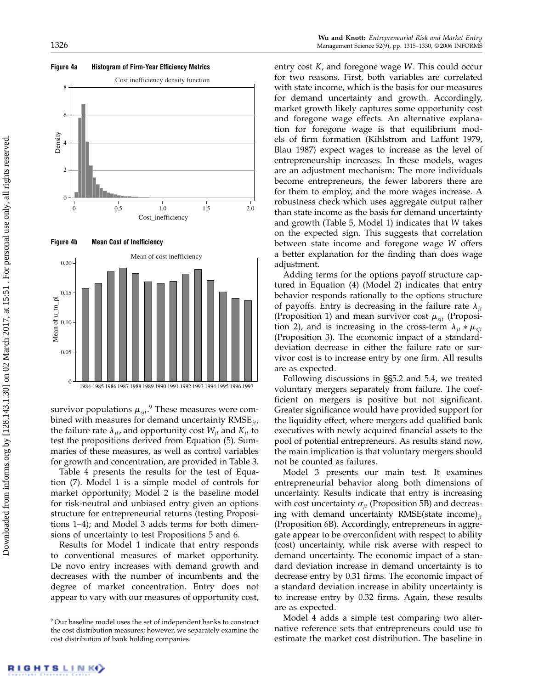



Figure 4b Mean Cost of Inefficiency



survivor populations  $\mu_{\scriptscriptstyle sjt}$ .<sup>9</sup> These measures were combined with measures for demand uncertainty  $RMSE_{it}$ , the failure rate  $\lambda_{it}$ , and opportunity cost  $W_{it}$  and  $K_{it}$  to test the propositions derived from Equation (5). Summaries of these measures, as well as control variables for growth and concentration, are provided in Table 3.

Table 4 presents the results for the test of Equation (7). Model 1 is a simple model of controls for market opportunity; Model 2 is the baseline model for risk-neutral and unbiased entry given an options structure for entrepreneurial returns (testing Propositions 1–4); and Model 3 adds terms for both dimensions of uncertainty to test Propositions 5 and 6.

Results for Model 1 indicate that entry responds to conventional measures of market opportunity. De novo entry increases with demand growth and decreases with the number of incumbents and the degree of market concentration. Entry does not appear to vary with our measures of opportunity cost,

Wu and Knott: Entrepreneurial Risk and Market Entry 1326 Management Science 52(9), pp. 1315–1330, © 2006 INFORMS

> entry cost K, and foregone wage W. This could occur for two reasons. First, both variables are correlated with state income, which is the basis for our measures for demand uncertainty and growth. Accordingly, market growth likely captures some opportunity cost and foregone wage effects. An alternative explanation for foregone wage is that equilibrium models of firm formation (Kihlstrom and Laffont 1979, Blau 1987) expect wages to increase as the level of entrepreneurship increases. In these models, wages are an adjustment mechanism: The more individuals become entrepreneurs, the fewer laborers there are for them to employ, and the more wages increase. A robustness check which uses aggregate output rather than state income as the basis for demand uncertainty and growth (Table 5, Model 1) indicates that W takes on the expected sign. This suggests that correlation between state income and foregone wage W offers a better explanation for the finding than does wage adjustment.

> Adding terms for the options payoff structure captured in Equation (4) (Model 2) indicates that entry behavior responds rationally to the options structure of payoffs. Entry is decreasing in the failure rate  $\lambda_{it}$ (Proposition 1) and mean survivor cost  $\mu_{sjt}$  (Proposition 2), and is increasing in the cross-term  $\lambda_{it} * \mu_{sit}$ (Proposition 3). The economic impact of a standarddeviation decrease in either the failure rate or survivor cost is to increase entry by one firm. All results are as expected.

> Following discussions in §§5.2 and 5.4, we treated voluntary mergers separately from failure. The coefficient on mergers is positive but not significant. Greater significance would have provided support for the liquidity effect, where mergers add qualified bank executives with newly acquired financial assets to the pool of potential entrepreneurs. As results stand now, the main implication is that voluntary mergers should not be counted as failures.

> Model 3 presents our main test. It examines entrepreneurial behavior along both dimensions of uncertainty. Results indicate that entry is increasing with cost uncertainty  $\sigma_{jt}$  (Proposition 5B) and decreasing with demand uncertainty RMSE(state income) $_{it}$ (Proposition 6B). Accordingly, entrepreneurs in aggregate appear to be overconfident with respect to ability (cost) uncertainty, while risk averse with respect to demand uncertainty. The economic impact of a standard deviation increase in demand uncertainty is to decrease entry by 0.31 firms. The economic impact of a standard deviation increase in ability uncertainty is to increase entry by 0.32 firms. Again, these results are as expected.

> Model 4 adds a simple test comparing two alternative reference sets that entrepreneurs could use to estimate the market cost distribution. The baseline in

<sup>9</sup> Our baseline model uses the set of independent banks to construct the cost distribution measures; however, we separately examine the cost distribution of bank holding companies.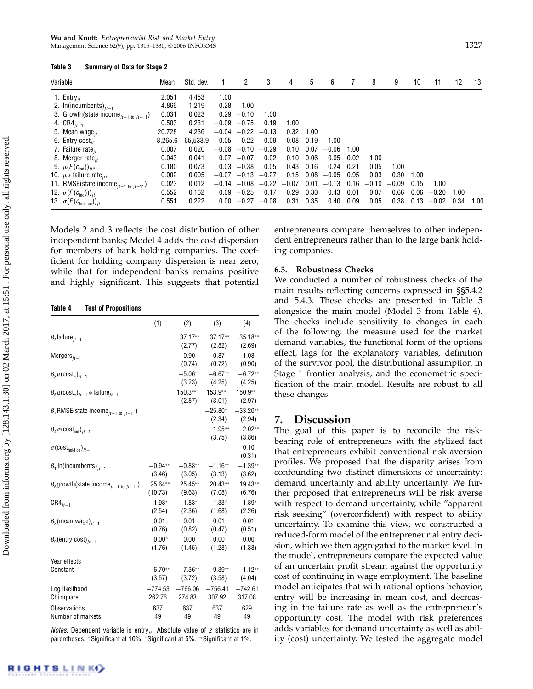| Table 3<br><b>Summary of Data for Stage 2</b> |  |  |  |  |
|-----------------------------------------------|--|--|--|--|
|-----------------------------------------------|--|--|--|--|

| Variable                                           | Mean    | Std. dev. |         | 2             | 3       | 4       | 5    | 6       |      | 8       | 9       | 10   | 11      | 12   | 13   |
|----------------------------------------------------|---------|-----------|---------|---------------|---------|---------|------|---------|------|---------|---------|------|---------|------|------|
| 1. Entry $_{it}$                                   | 2.051   | 4.453     | 1.00    |               |         |         |      |         |      |         |         |      |         |      |      |
| 2. In(incumbents) $_{it-1}$                        | 4.866   | 1.219     | 0.28    | 1.00          |         |         |      |         |      |         |         |      |         |      |      |
| 3. Growth (state income <sub>jt-1 to jt-11</sub> ) | 0.031   | 0.023     | 0.29    | $-0.10$       | 1.00    |         |      |         |      |         |         |      |         |      |      |
| 4. $CR4_{it-1}$                                    | 0.503   | 0.231     | $-0.09$ | $-0.75$       | 0.19    | 1.00    |      |         |      |         |         |      |         |      |      |
| 5. Mean wage <sub>jt</sub>                         | 20.728  | 4.236     |         | $-0.04 -0.22$ | $-0.13$ | 0.32    | 1.00 |         |      |         |         |      |         |      |      |
| 6. Entry $cost_{it}$                               | 8.265.6 | 65.533.9  | $-0.05$ | $-0.22$       | 0.09    | 0.08    | 0.19 | 1.00    |      |         |         |      |         |      |      |
| 7. Failure rate $_{it}$                            | 0.007   | 0.020     | $-0.08$ | $-0.10$       | $-0.29$ | 0.10    | 0.07 | $-0.06$ | 1.00 |         |         |      |         |      |      |
| 8. Merger rate $_{it}$                             | 0.043   | 0.041     | 0.07    | $-0.07$       | 0.02    | 0.10    | 0.06 | 0.05    | 0.02 | 1.00    |         |      |         |      |      |
| 9. $\mu(F(c_{ind}))_{it^*}$                        | 0.180   | 0.073     | 0.03    | $-0.38$       | 0.05    | 0.43    | 0.16 | 0.24    | 0.21 | 0.05    | 1.00    |      |         |      |      |
| 10. $\mu *$ failure rate <sub>it*</sub>            | 0.002   | 0.005     | $-0.07$ | $-0.13$       | $-0.27$ | 0.15    | 0.08 | $-0.05$ | 0.95 | 0.03    | 0.30    | 1.00 |         |      |      |
| 11. RMSE(state income <sub>jt-1 to jt-11</sub> )   | 0.023   | 0.012     | $-0.14$ | $-0.08$       | $-0.22$ | $-0.07$ | 0.01 | $-0.13$ | 0.16 | $-0.10$ | $-0.09$ | 0.15 | 1.00    |      |      |
| 12. $\sigma(F(c_{\text{ind}})))_{it}$              | 0.552   | 0.162     | 0.09    | $-0.25$       | 0.17    | 0.29    | 0.30 | 0.43    | 0.01 | 0.07    | 0.66    | 0.06 | $-0.20$ | 1.00 |      |
| 13. $\sigma(F(c_{hold\text{ col}}))_{it}$          | 0.551   | 0.222     | 0.00    | $-0.27$       | $-0.08$ | 0.31    | 0.35 | 0.40    | 0.09 | 0.05    | 0.38    | 0.13 | $-0.02$ | 0.34 | 1.00 |

Models 2 and 3 reflects the cost distribution of other independent banks; Model 4 adds the cost dispersion for members of bank holding companies. The coefficient for holding company dispersion is near zero, while that for independent banks remains positive and highly significant. This suggests that potential

Table 4 Test of Propositions

|                                                                              | (1)             | (2)        | (3)              | (4)        |
|------------------------------------------------------------------------------|-----------------|------------|------------------|------------|
| $\beta_2$ failure <sub>jt-1</sub>                                            |                 | $-37.17**$ | $-37.17**$       | $-35.18**$ |
|                                                                              |                 | (2.77)     | (2.82)           | (2.69)     |
| Mergers $_{jt-1}$                                                            |                 | 0.90       | 0.87             | 1.08       |
|                                                                              |                 | (0.74)     | (0.72)           | (0.90)     |
| $\beta_3\mu$ (cost <sub>s</sub> ) <sub>it-1</sub>                            |                 | $-5.06**$  | $-6.67**$        | $-6.72**$  |
|                                                                              |                 | (3.23)     | (4.25)           | (4.25)     |
| $\beta_5 \mu$ (cost <sub>s</sub> ) <sub>jt-1</sub> * failure <sub>jt-1</sub> |                 | $150.3***$ | $153.9**$        | $150.9**$  |
|                                                                              |                 | (2.87)     | (3.01)           | (2.97)     |
| $\beta_7$ RMSE(state income <sub>jt-1 to jt-11</sub> )                       |                 |            | $-25.80*$        | $-33.20**$ |
|                                                                              |                 |            | (2.34)           | (2.94)     |
| $\beta_4\sigma(\text{cost}_{\text{ind}})_{it-1}$                             |                 |            | $1.95**$         | $2.02**$   |
|                                                                              |                 |            | (3.75)           | (3.86)     |
| $\sigma$ (COSt <sub>hold co</sub> ) <sub>it-1</sub>                          |                 |            |                  | 0.10       |
|                                                                              |                 |            |                  | (0.31)     |
| $\beta_1$ In(incumbents) <sub>it-1</sub>                                     | $-0.94**$       | $-0.88**$  | $-1.16**$        | $-1.39**$  |
|                                                                              | (3.46)          | (3.05)     | (3.13)           | (3.62)     |
| $\beta_6$ growth(state income <sub>jt-1 to jt-11</sub> )                     | 25.64**         | $25.45**$  | $20.43**$        | 19.43**    |
|                                                                              | (10.73)         | (9.63)     | (7.08)           | (6.76)     |
| $CR4_{jt-1}$                                                                 | $-1.93*$        | $-1.83*$   | $-1.33^{\wedge}$ | $-1.89*$   |
|                                                                              | (2.54)          | (2.36)     | (1.68)           | (2.26)     |
| $\beta_8$ (mean wage) <sub>it-1</sub>                                        | 0.01            | 0.01       | 0.01             | 0.01       |
|                                                                              | (0.76)          | (0.82)     | (0.47)           | (0.51)     |
| $\beta_9$ (entry cost) <sub>it-1</sub>                                       | $0.00^{\wedge}$ | 0.00       | 0.00             | 0.00       |
|                                                                              | (1.76)          | (1.45)     | (1.28)           | (1.38)     |
| Year effects                                                                 |                 |            |                  |            |
| Constant                                                                     | $6.70**$        | $7.36**$   | $9.39**$         | $1.12**$   |
|                                                                              | (3.57)          | (3.72)     | (3.58)           | (4.04)     |
| Log likelihood                                                               | $-774.53$       | $-766.06$  | $-756.41$        | $-742.61$  |
| Chi square                                                                   | 262.76          | 274.83     | 307.92           | 317.08     |
| <b>Observations</b>                                                          | 637             | 637        | 637              | 629        |
| Number of markets                                                            | 49              | 49         | 49               | 49         |

*Notes.* Dependent variable is entry $_{it}$ . Absolute value of z statistics are in parentheses. <sup>∧</sup>Significant at 10%. <sup>∗</sup>Significant at 5%. ∗∗Significant at 1%.

entrepreneurs compare themselves to other independent entrepreneurs rather than to the large bank holding companies.

## 6.3. Robustness Checks

We conducted a number of robustness checks of the main results reflecting concerns expressed in §§5.4.2 and 5.4.3. These checks are presented in Table 5 alongside the main model (Model 3 from Table 4). The checks include sensitivity to changes in each of the following: the measure used for the market demand variables, the functional form of the options effect, lags for the explanatory variables, definition of the survivor pool, the distributional assumption in Stage 1 frontier analysis, and the econometric specification of the main model. Results are robust to all these changes.

## 7. Discussion

The goal of this paper is to reconcile the riskbearing role of entrepreneurs with the stylized fact that entrepreneurs exhibit conventional risk-aversion profiles. We proposed that the disparity arises from confounding two distinct dimensions of uncertainty: demand uncertainty and ability uncertainty. We further proposed that entrepreneurs will be risk averse with respect to demand uncertainty, while "apparent risk seeking" (overconfident) with respect to ability uncertainty. To examine this view, we constructed a reduced-form model of the entrepreneurial entry decision, which we then aggregated to the market level. In the model, entrepreneurs compare the expected value of an uncertain profit stream against the opportunity cost of continuing in wage employment. The baseline model anticipates that with rational options behavior, entry will be increasing in mean cost, and decreasing in the failure rate as well as the entrepreneur's opportunity cost. The model with risk preferences adds variables for demand uncertainty as well as ability (cost) uncertainty. We tested the aggregate model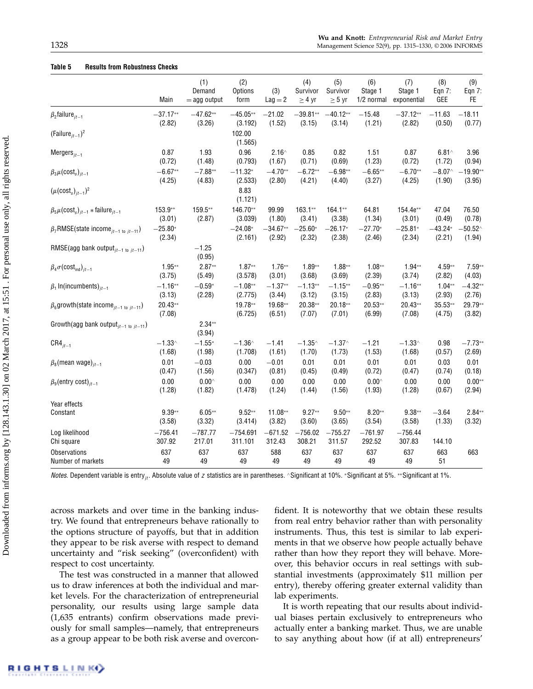|                                                                              | Main                | (1)<br>Demand<br>$=$ agg output | (2)<br>Options<br>form | (3)<br>$Lag = 2$     | (4)<br>Survivor<br>$\geq$ 4 yr | (5)<br>Survivor<br>$\geq$ 5 yr | (6)<br>Stage 1<br>1/2 normal | (7)<br>Stage 1<br>exponential | (8)<br>Eqn $7$ :<br>GEE | (9)<br>Eqn 7:<br>FE.        |
|------------------------------------------------------------------------------|---------------------|---------------------------------|------------------------|----------------------|--------------------------------|--------------------------------|------------------------------|-------------------------------|-------------------------|-----------------------------|
| $\beta_2$ failure <sub>it-1</sub>                                            | $-37.17**$          | $-47.62**$                      | $-45.05**$             | $-21.02$             | $-39.81**$                     | $-40.12**$                     | $-15.48$                     | $-37.12**$                    | $-11.63$                | $-18.11$                    |
|                                                                              | (2.82)              | (3.26)                          | (3.192)                | (1.52)               | (3.15)                         | (3.14)                         | (1.21)                       | (2.82)                        | (0.50)                  | (0.77)                      |
| (Failure <sub>it-1</sub> ) <sup>2</sup>                                      |                     |                                 | 102.00<br>(1.565)      |                      |                                |                                |                              |                               |                         |                             |
| Mergers $_{jt-1}$                                                            | 0.87                | 1.93                            | 0.96                   | $2.16^{\wedge}$      | 0.85                           | 0.82                           | 1.51                         | 0.87                          | $6.81^{\wedge}$         | 3.96                        |
|                                                                              | (0.72)              | (1.48)                          | (0.793)                | (1.67)               | (0.71)                         | (0.69)                         | (1.23)                       | (0.72)                        | (1.72)                  | (0.94)                      |
| $\beta_3\mu$ (cost <sub>s</sub> ) <sub>it-1</sub>                            | $-6.67**$           | $-7.88**$                       | $-11.32*$              | $-4.70**$            | $-6.72**$                      | $-6.98**$                      | $-6.65**$                    | $-6.70**$                     | $-8.07^{\wedge}$        | $-19.90**$                  |
|                                                                              | (4.25)              | (4.83)                          | (2.533)                | (2.80)               | (4.21)                         | (4.40)                         | (3.27)                       | (4.25)                        | (1.90)                  | (3.95)                      |
| $(\mu(\text{cost}_s)_{it-1})^2$                                              |                     |                                 | 8.83<br>(1.121)        |                      |                                |                                |                              |                               |                         |                             |
| $\beta_5 \mu$ (cost <sub>s</sub> ) <sub>it-1</sub> * failure <sub>it-1</sub> | 153.9**             | 159.5**                         | 146.70**               | 99.99                | $163.1**$                      | $164.1**$                      | 64.81                        | 154.4e**                      | 47.04                   | 76.50                       |
|                                                                              | (3.01)              | (2.87)                          | (3.039)                | (1.80)               | (3.41)                         | (3.38)                         | (1.34)                       | (3.01)                        | (0.49)                  | (0.78)                      |
| $\beta_7$ RMSE(state income <sub>jt-1 to jt-11</sub> )                       | $-25.80*$<br>(2.34) |                                 | $-24.08*$<br>(2.161)   | $-34.67**$<br>(2.92) | $-25.60*$<br>(2.32)            | $-26.17*$<br>(2.38)            | $-27.70*$<br>(2.46)          | $-25.81*$<br>(2.34)           | $-43.24*$<br>(2.21)     | $-50.52^{\wedge}$<br>(1.94) |
| RMSE(agg bank output <sub>jt-1 to jt-11</sub> )                              |                     | $-1.25$<br>(0.95)               |                        |                      |                                |                                |                              |                               |                         |                             |
| $\beta_4 \sigma(\text{cost}_{\text{ind}})_{it-1}$                            | $1.95**$            | $2.87**$                        | $1.87**$               | $1.76**$             | $1.89**$                       | $1.88**$                       | $1.08**$                     | $1.94**$                      | 4.59**                  | 7.59**                      |
|                                                                              | (3.75)              | (5.49)                          | (3.578)                | (3.01)               | (3.68)                         | (3.69)                         | (2.39)                       | (3.74)                        | (2.82)                  | (4.03)                      |
| $\beta_1$ In(incumbents) <sub>it-1</sub>                                     | $-1.16**$           | $-0.59*$                        | $-1.08**$              | $-1.37**$            | $-1.13**$                      | $-1.15**$                      | $-0.95**$                    | $-1.16**$                     | $1.04**$                | $-4.32**$                   |
|                                                                              | (3.13)              | (2.28)                          | (2.775)                | (3.44)               | (3.12)                         | (3.15)                         | (2.83)                       | (3.13)                        | (2.93)                  | (2.76)                      |
| $\beta_6$ growth(state income <sub>jt-1 to jt-11</sub> )                     | 20.43**<br>(7.08)   |                                 | 19.78**<br>(6.725)     | 19.68**<br>(6.51)    | 20.38**<br>(7.07)              | 20.18**<br>(7.01)              | 20.53**<br>(6.99)            | $20.43**$<br>(7.08)           | $35.53**$<br>(4.75)     | 29.79**<br>(3.82)           |
| Growth(agg bank output <sub>it-1 to it-11</sub> )                            |                     | $2.34**$<br>(3.94)              |                        |                      |                                |                                |                              |                               |                         |                             |
| $CR4_{jt-1}$                                                                 | $-1.33^{\wedge}$    | $-1.55*$                        | $-1.36^{\wedge}$       | $-1.41$              | $-1.35^{\wedge}$               | $-1.37^{\wedge}$               | $-1.21$                      | $-1.33^{\wedge}$              | 0.98                    | $-7.73**$                   |
|                                                                              | (1.68)              | (1.98)                          | (1.708)                | (1.61)               | (1.70)                         | (1.73)                         | (1.53)                       | (1.68)                        | (0.57)                  | (2.69)                      |
| $\beta_8$ (mean wage) <sub>it-1</sub>                                        | 0.01                | $-0.03$                         | 0.00                   | $-0.01$              | 0.01                           | 0.01                           | 0.01                         | 0.01                          | 0.03                    | 0.01                        |
|                                                                              | (0.47)              | (1.56)                          | (0.347)                | (0.81)               | (0.45)                         | (0.49)                         | (0.72)                       | (0.47)                        | (0.74)                  | (0.18)                      |
| $\beta_9$ (entry cost) <sub>it-1</sub>                                       | 0.00                | $0.00^\wedge$                   | 0.00                   | 0.00                 | 0.00                           | 0.00                           | $0.00^\wedge$                | 0.00                          | 0.00                    | $0.00**$                    |
|                                                                              | (1.28)              | (1.82)                          | (1.478)                | (1.24)               | (1.44)                         | (1.56)                         | (1.93)                       | (1.28)                        | (0.67)                  | (2.94)                      |
| Year effects                                                                 | $9.39**$            | $6.05**$                        | $9.52**$               | $11.08**$            | $9.27**$                       | $9.50**$                       | $8.20**$                     | $9.38**$                      | $-3.64$                 | $2.84**$                    |
| Constant                                                                     | (3.58)              | (3.32)                          | (3.414)                | (3.82)               | (3.60)                         | (3.65)                         | (3.54)                       | (3.58)                        | (1.33)                  | (3.32)                      |
| Log likelihood<br>Chi square                                                 | $-756.41$<br>307.92 | $-787.77$<br>217.01             | $-754.691$<br>311.101  | $-671.52$<br>312.43  | $-756.02$<br>308.21            | $-755.27$<br>311.57            | $-761.97$<br>292.52          | $-756.44$<br>307.83           | 144.10                  |                             |
| <b>Observations</b>                                                          | 637                 | 637                             | 637                    | 588                  | 637                            | 637                            | 637                          | 637                           | 663                     | 663                         |
| Number of markets                                                            | 49                  | 49                              | 49                     | 49                   | 49                             | 49                             | 49                           | 49                            | 51                      |                             |

*Notes*. Dependent variable is entry<sub>it</sub>. Absolute value of z statistics are in parentheses. ^Significant at 10%. \*Significant at 5%. \*\*Significant at 1%.

across markets and over time in the banking industry. We found that entrepreneurs behave rationally to the options structure of payoffs, but that in addition they appear to be risk averse with respect to demand uncertainty and "risk seeking" (overconfident) with respect to cost uncertainty.

The test was constructed in a manner that allowed us to draw inferences at both the individual and market levels. For the characterization of entrepreneurial personality, our results using large sample data (1,635 entrants) confirm observations made previously for small samples—namely, that entrepreneurs as a group appear to be both risk averse and overconfident. It is noteworthy that we obtain these results from real entry behavior rather than with personality instruments. Thus, this test is similar to lab experiments in that we observe how people actually behave rather than how they report they will behave. Moreover, this behavior occurs in real settings with substantial investments (approximately \$11 million per entry), thereby offering greater external validity than lab experiments.

It is worth repeating that our results about individual biases pertain exclusively to entrepreneurs who actually enter a banking market. Thus, we are unable to say anything about how (if at all) entrepreneurs'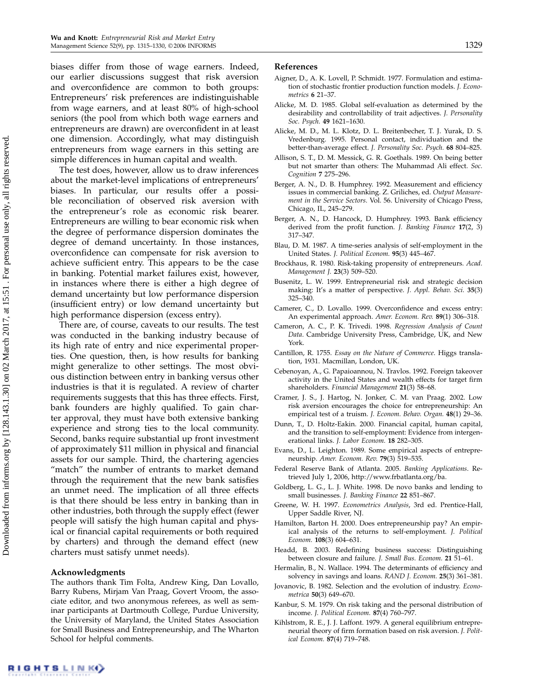biases differ from those of wage earners. Indeed, our earlier discussions suggest that risk aversion and overconfidence are common to both groups: Entrepreneurs' risk preferences are indistinguishable from wage earners, and at least 80% of high-school seniors (the pool from which both wage earners and entrepreneurs are drawn) are overconfident in at least one dimension. Accordingly, what may distinguish entrepreneurs from wage earners in this setting are simple differences in human capital and wealth.

The test does, however, allow us to draw inferences about the market-level implications of entrepreneurs' biases. In particular, our results offer a possible reconciliation of observed risk aversion with the entrepreneur's role as economic risk bearer. Entrepreneurs are willing to bear economic risk when the degree of performance dispersion dominates the degree of demand uncertainty. In those instances, overconfidence can compensate for risk aversion to achieve sufficient entry. This appears to be the case in banking. Potential market failures exist, however, in instances where there is either a high degree of demand uncertainty but low performance dispersion (insufficient entry) or low demand uncertainty but high performance dispersion (excess entry).

There are, of course, caveats to our results. The test was conducted in the banking industry because of its high rate of entry and nice experimental properties. One question, then, is how results for banking might generalize to other settings. The most obvious distinction between entry in banking versus other industries is that it is regulated. A review of charter requirements suggests that this has three effects. First, bank founders are highly qualified. To gain charter approval, they must have both extensive banking experience and strong ties to the local community. Second, banks require substantial up front investment of approximately \$11 million in physical and financial assets for our sample. Third, the chartering agencies "match" the number of entrants to market demand through the requirement that the new bank satisfies an unmet need. The implication of all three effects is that there should be less entry in banking than in other industries, both through the supply effect (fewer people will satisfy the high human capital and physical or financial capital requirements or both required by charters) and through the demand effect (new charters must satisfy unmet needs).

#### Acknowledgments

The authors thank Tim Folta, Andrew King, Dan Lovallo, Barry Rubens, Mirjam Van Praag, Govert Vroom, the associate editor, and two anonymous referees, as well as seminar participants at Dartmouth College, Purdue University, the University of Maryland, the United States Association for Small Business and Entrepreneurship, and The Wharton School for helpful comments.

#### References

- Aigner, D., A. K. Lovell, P. Schmidt. 1977. Formulation and estimation of stochastic frontier production function models. J. Econometrics 6 21–37.
- Alicke, M. D. 1985. Global self-evaluation as determined by the desirability and controllability of trait adjectives. J. Personality Soc. Psych. 49 1621–1630.
- Alicke, M. D., M. L. Klotz, D. L. Breitenbecher, T. J. Yurak, D. S. Vredenburg. 1995. Personal contact, individuation and the better-than-average effect. J. Personality Soc. Psych. 68 804–825.
- Allison, S. T., D. M. Messick, G. R. Goethals. 1989. On being better but not smarter than others: The Muhammad Ali effect. Soc. Cognition 7 275–296.
- Berger, A. N., D. B. Humphrey. 1992. Measurement and efficiency issues in commercial banking. Z. Griliches, ed. Output Measurement in the Service Sectors. Vol. 56. University of Chicago Press, Chicago, IL, 245–279.
- Berger, A. N., D. Hancock, D. Humphrey. 1993. Bank efficiency derived from the profit function. J. Banking Finance 17(2, 3) 317–347.
- Blau, D. M. 1987. A time-series analysis of self-employment in the United States. J. Political Econom. 95(3) 445–467.
- Brockhaus, R. 1980. Risk-taking propensity of entrepreneurs. Acad. Management J. 23(3) 509–520.
- Busenitz, L. W. 1999. Entrepreneurial risk and strategic decision making: It's a matter of perspective. J. Appl. Behav. Sci. 35(3) 325–340.
- Camerer, C., D. Lovallo. 1999. Overconfidence and excess entry: An experimental approach. Amer. Econom. Rev. 89(1) 306–318.
- Cameron, A. C., P. K. Trivedi. 1998. Regression Analysis of Count Data. Cambridge University Press, Cambridge, UK, and New York.
- Cantillon, R. 1755. Essay on the Nature of Commerce. Higgs translation, 1931. Macmillan, London, UK.
- Cebenoyan, A., G. Papaioannou, N. Travlos. 1992. Foreign takeover activity in the United States and wealth effects for target firm shareholders. Financial Management 21(3) 58–68.
- Cramer, J. S., J. Hartog, N. Jonker, C. M. van Praag. 2002. Low risk aversion encourages the choice for entrepreneurship: An empirical test of a truism. J. Econom. Behav. Organ. 48(1) 29–36.
- Dunn, T., D. Holtz-Eakin. 2000. Financial capital, human capital, and the transition to self-employment: Evidence from intergenerational links. J. Labor Econom. 18 282–305.
- Evans, D., L. Leighton. 1989. Some empirical aspects of entrepreneurship. Amer. Econom. Rev. 79(3) 519–535.
- Federal Reserve Bank of Atlanta. 2005. Banking Applications. Retrieved July 1, 2006, http://www.frbatlanta.org/ba.
- Goldberg, L. G., L. J. White. 1998. De novo banks and lending to small businesses. J. Banking Finance 22 851–867.
- Greene, W. H. 1997. Econometrics Analysis, 3rd ed. Prentice-Hall, Upper Saddle River, NJ.
- Hamilton, Barton H. 2000. Does entrepreneurship pay? An empirical analysis of the returns to self-employment. J. Political Econom. 108(3) 604–631.
- Headd, B. 2003. Redefining business success: Distinguishing between closure and failure. J. Small Bus. Econom. 21 51–61.
- Hermalin, B., N. Wallace. 1994. The determinants of efficiency and solvency in savings and loans. RAND J. Econom. 25(3) 361–381.
- Jovanovic, B. 1982. Selection and the evolution of industry. Econometrica 50(3) 649–670.
- Kanbur, S. M. 1979. On risk taking and the personal distribution of income. J. Political Econom. 87(4) 760–797.
- Kihlstrom, R. E., J. J. Laffont. 1979. A general equilibrium entrepreneurial theory of firm formation based on risk aversion. J. Political Econom. 87(4) 719–748.